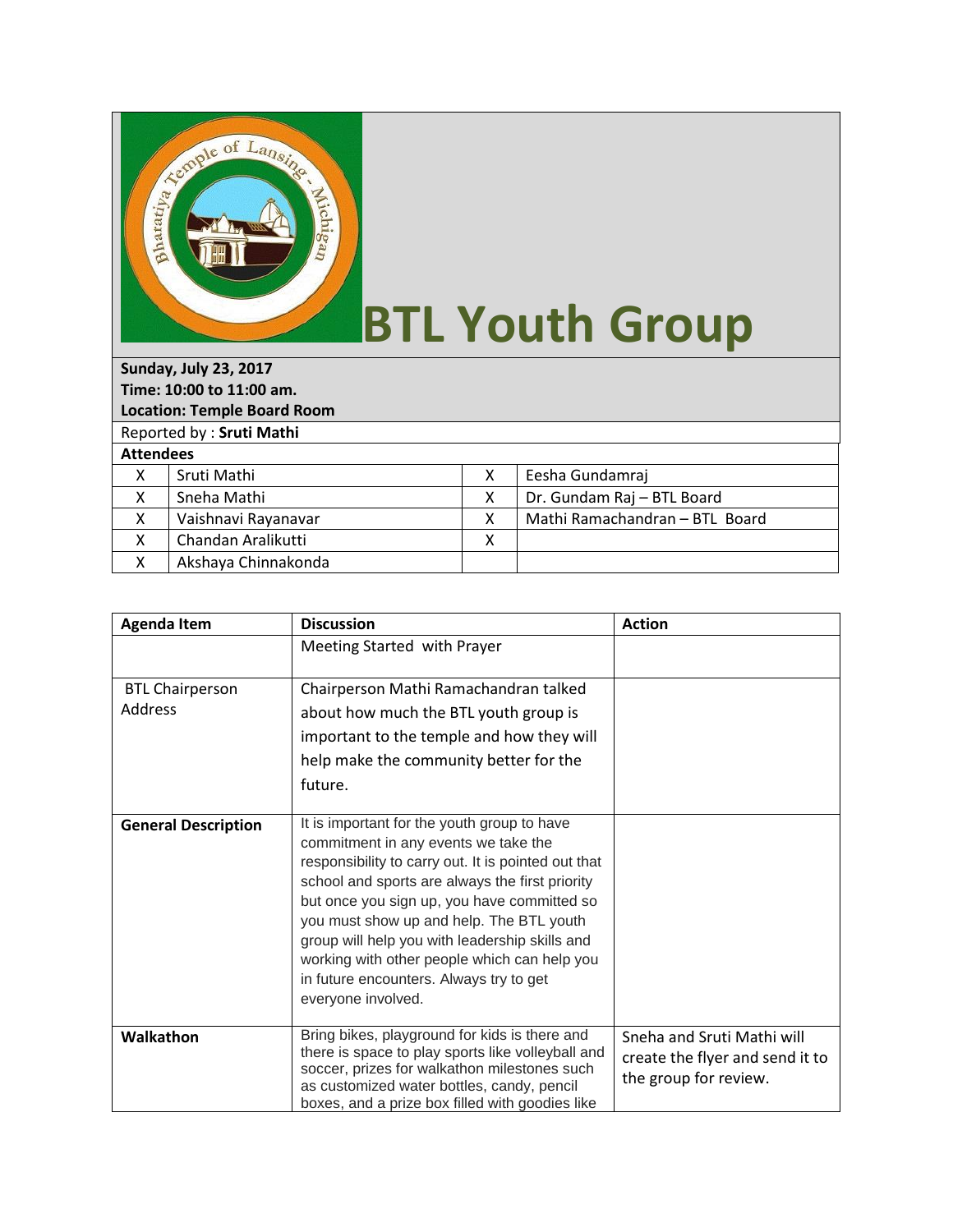

## **BTL Youth Group**

| <b>Sunday, July 23, 2017</b>       |                     |   |                                |  |  |  |
|------------------------------------|---------------------|---|--------------------------------|--|--|--|
| Time: 10:00 to 11:00 am.           |                     |   |                                |  |  |  |
| <b>Location: Temple Board Room</b> |                     |   |                                |  |  |  |
| Reported by: Sruti Mathi           |                     |   |                                |  |  |  |
| <b>Attendees</b>                   |                     |   |                                |  |  |  |
| X                                  | Sruti Mathi         | x | Eesha Gundamraj                |  |  |  |
| X                                  | Sneha Mathi         | x | Dr. Gundam Raj - BTL Board     |  |  |  |
| X                                  | Vaishnavi Rayanavar | X | Mathi Ramachandran - BTL Board |  |  |  |
| X                                  | Chandan Aralikutti  | χ |                                |  |  |  |
| X                                  | Akshaya Chinnakonda |   |                                |  |  |  |

| <b>Agenda Item</b>                       | <b>Discussion</b>                                                                                                                                                                                                                                                                                                                                                                                                                                           | <b>Action</b>                                                                          |
|------------------------------------------|-------------------------------------------------------------------------------------------------------------------------------------------------------------------------------------------------------------------------------------------------------------------------------------------------------------------------------------------------------------------------------------------------------------------------------------------------------------|----------------------------------------------------------------------------------------|
|                                          | Meeting Started with Prayer                                                                                                                                                                                                                                                                                                                                                                                                                                 |                                                                                        |
| <b>BTL Chairperson</b><br><b>Address</b> | Chairperson Mathi Ramachandran talked<br>about how much the BTL youth group is<br>important to the temple and how they will<br>help make the community better for the<br>future.                                                                                                                                                                                                                                                                            |                                                                                        |
| <b>General Description</b>               | It is important for the youth group to have<br>commitment in any events we take the<br>responsibility to carry out. It is pointed out that<br>school and sports are always the first priority<br>but once you sign up, you have committed so<br>you must show up and help. The BTL youth<br>group will help you with leadership skills and<br>working with other people which can help you<br>in future encounters. Always try to get<br>everyone involved. |                                                                                        |
| Walkathon                                | Bring bikes, playground for kids is there and<br>there is space to play sports like volleyball and<br>soccer, prizes for walkathon milestones such<br>as customized water bottles, candy, pencil<br>boxes, and a prize box filled with goodies like                                                                                                                                                                                                         | Sneha and Sruti Mathi will<br>create the flyer and send it to<br>the group for review. |